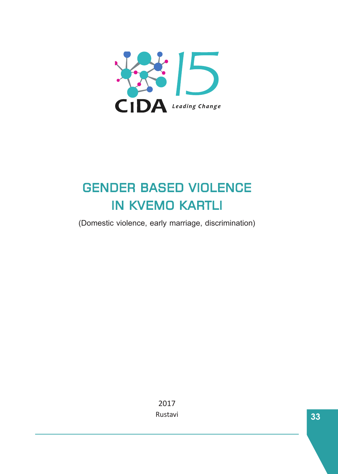

# **GENDER BASED VIOLENCE IN KVEMO KARTLI**

(Domestic violence, early marriage, discrimination)

2017 Rustavi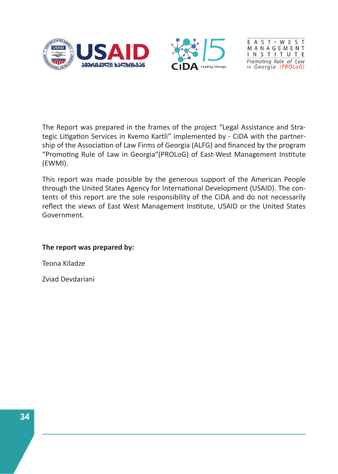



EAST · WEST MANAGEMENT **INSTITUTE** Promoting Rule of Law in Georgia (PROLoG)

The Report was prepared in the frames of the project "Legal Assistance and Strategic Litigation Services in Kvemo Kartli" implemented by - CiDA with the partnership of the Association of Law Firms of Georgia (ALFG) and financed by the program "Promoting Rule of Law in Georgia"(PROLoG) of East-West Management Institute (EWMI).

This report was made possible by the generous support of the American People through the United States Agency for International Development (USAID). The contents of this report are the sole responsibility of the CiDA and do not necessarily reflect the views of East West Management Institute, USAID or the United States Government.

#### **The report was prepared by:**

Teona Kiladze

Zviad Devdariani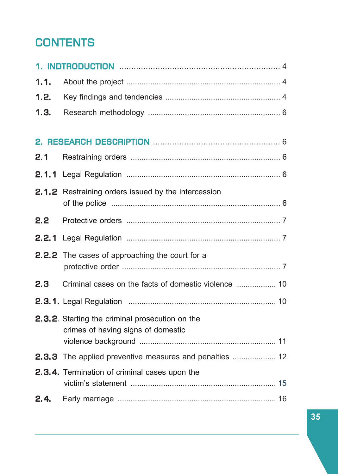## **CONTENTS**

| 1.1.          |                                                                                       |  |
|---------------|---------------------------------------------------------------------------------------|--|
| 1.2.          |                                                                                       |  |
| 1.3.          |                                                                                       |  |
|               |                                                                                       |  |
|               |                                                                                       |  |
| 2.1           |                                                                                       |  |
| 2.1.1         |                                                                                       |  |
|               | 2.1.2 Restraining orders issued by the intercession                                   |  |
| $2.2^{\circ}$ |                                                                                       |  |
| 2.2.1         |                                                                                       |  |
|               | <b>2.2.2</b> The cases of approaching the court for a                                 |  |
| 2.3           |                                                                                       |  |
|               |                                                                                       |  |
|               | 2.3.2. Starting the criminal prosecution on the<br>crimes of having signs of domestic |  |
|               |                                                                                       |  |
|               | 2.3.4. Termination of criminal cases upon the                                         |  |
| 2.4.          |                                                                                       |  |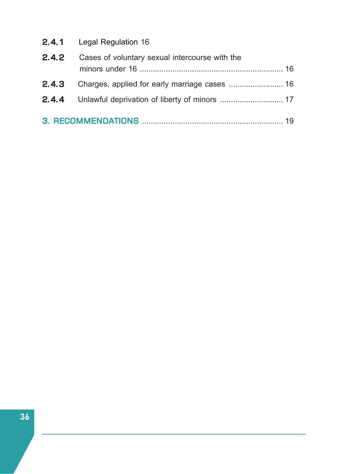|       | <b>2.4.1</b> Legal Regulation 16               |  |
|-------|------------------------------------------------|--|
| 2.4.2 | Cases of voluntary sexual intercourse with the |  |
|       |                                                |  |
|       |                                                |  |
|       |                                                |  |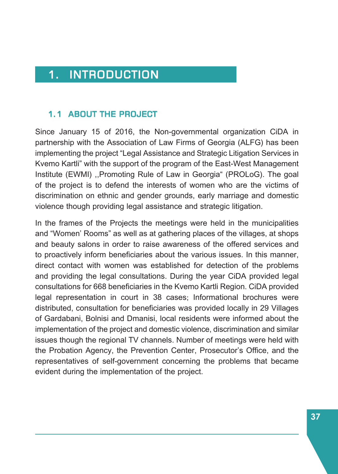## 1. INTRODUCTION

#### 1.1 ABOUT THE PROJECT

Since January 15 of 2016, the Non-governmental organization CiDA in partnership with the Association of Law Firms of Georgia (ALFG) has been implementing the project "Legal Assistance and Strategic Litigation Services in Kvemo Kartli" with the support of the program of the East-West Management Institute (EWMI) ,,Promoting Rule of Law in Georgia" (PROLoG). The goal of the project is to defend the interests of women who are the victims of discrimination on ethnic and gender grounds, early marriage and domestic violence though providing legal assistance and strategic litigation.

In the frames of the Projects the meetings were held in the municipalities and "Women' Rooms" as well as at gathering places of the villages, at shops and beauty salons in order to raise awareness of the offered services and to proactively inform beneficiaries about the various issues. In this manner, direct contact with women was established for detection of the problems and providing the legal consultations. During the year CiDA provided legal consultations for 668 beneficiaries in the Kvemo Kartli Region. CiDA provided legal representation in court in 38 cases; Informational brochures were distributed, consultation for beneficiaries was provided locally in 29 Villages of Gardabani, Bolnisi and Dmanisi, local residents were informed about the implementation of the project and domestic violence, discrimination and similar issues though the regional TV channels. Number of meetings were held with the Probation Agency, the Prevention Center, Prosecutor's Office, and the representatives of self-government concerning the problems that became evident during the implementation of the project.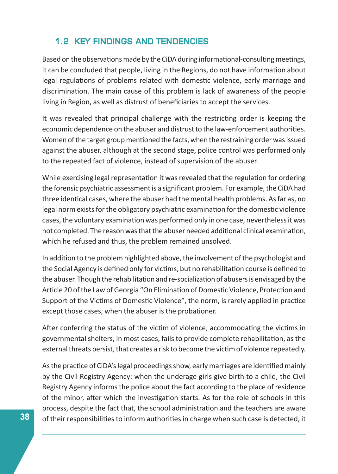#### 1.2 KEY FINDINGS AND TENDENCIES

Based on the observations made by the CiDA during informational-consulting meetings, it can be concluded that people, living in the Regions, do not have information about legal regulations of problems related with domestic violence, early marriage and discrimination. The main cause of this problem is lack of awareness of the people living in Region, as well as distrust of beneficiaries to accept the services.

It was revealed that principal challenge with the restricting order is keeping the economic dependence on the abuser and distrust to the law-enforcement authorities. Women of the target group mentioned the facts, when the restraining order was issued against the abuser, although at the second stage, police control was performed only to the repeated fact of violence, instead of supervision of the abuser.

While exercising legal representation it was revealed that the regulation for ordering the forensic psychiatric assessment is a significant problem. For example, the CiDA had three identical cases, where the abuser had the mental health problems. As far as, no legal norm exists for the obligatory psychiatric examination for the domestic violence cases, the voluntary examination was performed only in one case, nevertheless it was not completed. The reason was that the abuser needed additional clinical examination, which he refused and thus, the problem remained unsolved.

In addition to the problem highlighted above, the involvement of the psychologist and the Social Agency is defined only for victims, but no rehabilitation course is defined to the abuser. Though the rehabilitation and re-socialization of abusers is envisaged by the Article 20 of the Law of Georgia "On Elimination of Domestic Violence, Protection and Support of the Victims of Domestic Violence", the norm, is rarely applied in practice except those cases, when the abuser is the probationer.

After conferring the status of the victim of violence, accommodating the victims in governmental shelters, in most cases, fails to provide complete rehabilitation, as the external threats persist, that creates a risk to become the victim of violence repeatedly.

As the practice of CiDA's legal proceedings show, early marriages are identified mainly by the Civil Registry Agency: when the underage girls give birth to a child, the Civil Registry Agency informs the police about the fact according to the place of residence of the minor, after which the investigation starts. As for the role of schools in this process, despite the fact that, the school administration and the teachers are aware of their responsibilities to inform authorities in charge when such case is detected, it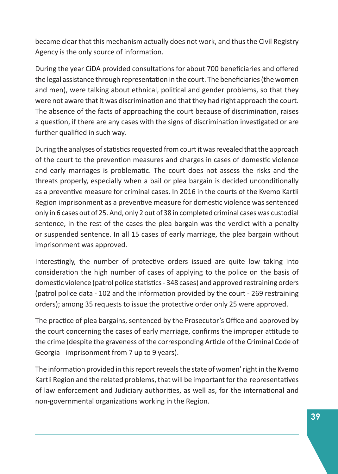became clear that this mechanism actually does not work, and thus the Civil Registry Agency is the only source of information.

During the year CiDA provided consultations for about 700 beneficiaries and offered the legal assistance through representation in the court. The beneficiaries (the women and men), were talking about ethnical, political and gender problems, so that they were not aware that it was discrimination and that they had right approach the court. The absence of the facts of approaching the court because of discrimination, raises a question, if there are any cases with the signs of discrimination investigated or are further qualified in such way.

During the analyses of statistics requested from court it was revealed that the approach of the court to the prevention measures and charges in cases of domestic violence and early marriages is problematic. The court does not assess the risks and the threats properly, especially when a bail or plea bargain is decided unconditionally as a preventive measure for criminal cases. In 2016 in the courts of the Kvemo Kartli Region imprisonment as a preventive measure for domestic violence was sentenced only in 6 cases out of 25. And, only 2 out of 38 in completed criminal cases was custodial sentence, in the rest of the cases the plea bargain was the verdict with a penalty or suspended sentence. In all 15 cases of early marriage, the plea bargain without imprisonment was approved.

Interestingly, the number of protective orders issued are quite low taking into consideration the high number of cases of applying to the police on the basis of domestic violence (patrol police statistics - 348 cases) and approved restraining orders (patrol police data - 102 and the information provided by the court - 269 restraining orders); among 35 requests to issue the protective order only 25 were approved.

The practice of plea bargains, sentenced by the Prosecutor's Office and approved by the court concerning the cases of early marriage, confirms the improper attitude to the crime (despite the graveness of the corresponding Article of the Criminal Code of Georgia - imprisonment from 7 up to 9 years).

The information provided in this report reveals the state of women' right in the Kvemo Kartli Region and the related problems, that will be important for the representatives of law enforcement and Judiciary authorities, as well as, for the international and non-governmental organizations working in the Region.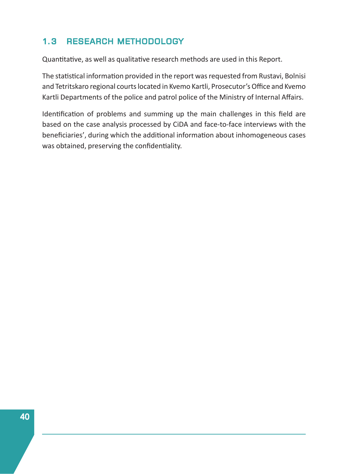### 1.3 RESEARCH METHODOLOGY

Quantitative, as well as qualitative research methods are used in this Report.

The statistical information provided in the report was requested from Rustavi, Bolnisi and Tetritskaro regional courts located in Kvemo Kartli, Prosecutor's Office and Kvemo Kartli Departments of the police and patrol police of the Ministry of Internal Affairs.

Identification of problems and summing up the main challenges in this field are based on the case analysis processed by CiDA and face-to-face interviews with the beneficiaries', during which the additional information about inhomogeneous cases was obtained, preserving the confidentiality.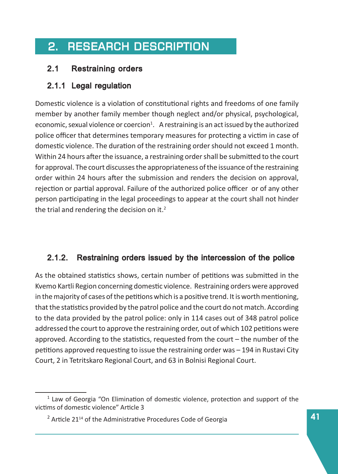## 2. RESEARCH DESCRIPTION

### 2.1 Restraining orders

### 2.1.1 Legal regulation

Domestic violence is a violation of constitutional rights and freedoms of one family member by another family member though neglect and/or physical, psychological, economic, sexual violence or coercion<sup>1</sup>. A restraining is an act issued by the authorized police officer that determines temporary measures for protecting a victim in case of domestic violence. The duration of the restraining order should not exceed 1 month. Within 24 hours after the issuance, a restraining order shall be submitted to the court for approval. The court discusses the appropriateness of the issuance of the restraining order within 24 hours after the submission and renders the decision on approval, rejection or partial approval. Failure of the authorized police officer or of any other person participating in the legal proceedings to appear at the court shall not hinder the trial and rendering the decision on it. $<sup>2</sup>$ </sup>

### 2.1.2. Restraining orders issued by the intercession of the police

As the obtained statistics shows, certain number of petitions was submitted in the Kvemo Kartli Region concerning domesƟc violence. Restraining orders were approved in the majority of cases of the petitions which is a positive trend. It is worth mentioning, that the statistics provided by the patrol police and the court do not match. According to the data provided by the patrol police: only in 114 cases out of 348 patrol police addressed the court to approve the restraining order, out of which 102 petitions were approved. According to the statistics, requested from the court  $-$  the number of the petitions approved requesting to issue the restraining order was – 194 in Rustavi City Court, 2 in Tetritskaro Regional Court, and 63 in Bolnisi Regional Court.

 $<sup>1</sup>$  Law of Georgia "On Elimination of domestic violence, protection and support of the</sup> victims of domestic violence" Article 3

 $2$  Article 21<sup>14</sup> of the Administrative Procedures Code of Georgia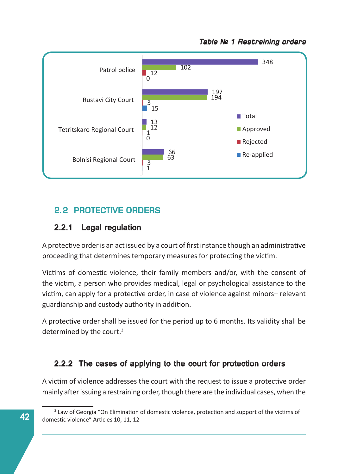



### **2.2 PROTECTIVE ORDERS**

#### 2.2.1 Legal regulation

A protective order is an act issued by a court of first instance though an administrative proceeding that determines temporary measures for protecting the victim.

Victims of domestic violence, their family members and/or, with the consent of the victim, a person who provides medical, legal or psychological assistance to the victim, can apply for a protective order, in case of violence against minors– relevant guardianship and custody authority in addition.

A protective order shall be issued for the period up to 6 months. Its validity shall be determined by the court.<sup>3</sup>

### 2.2.2 The cases of applying to the court for protection orders

A victim of violence addresses the court with the request to issue a protective order mainly after issuing a restraining order, though there are the individual cases, when the

<sup>&</sup>lt;sup>3</sup> Law of Georgia "On Elimination of domestic violence, protection and support of the victims of domestic violence" Articles 10, 11, 12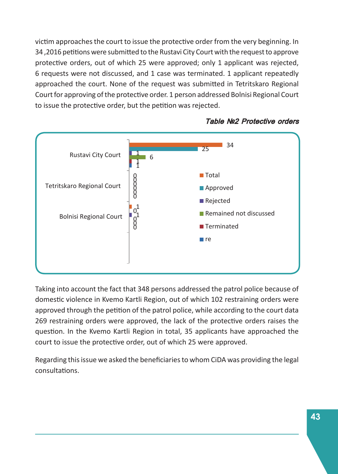victim approaches the court to issue the protective order from the very beginning. In 34,2016 petitions were submitted to the Rustavi City Court with the request to approve protective orders, out of which 25 were approved; only 1 applicant was rejected, 6 requests were not discussed, and 1 case was terminated. 1 applicant repeatedly approached the court. None of the request was submitted in Tetritskaro Regional Court for approving of the protective order. 1 person addressed Bolnisi Regional Court to issue the protective order, but the petition was rejected.



#### Table Nº2 Protective orders

Taking into account the fact that 348 persons addressed the patrol police because of domestic violence in Kvemo Kartli Region, out of which 102 restraining orders were approved through the petition of the patrol police, while according to the court data 269 restraining orders were approved, the lack of the protective orders raises the question. In the Kvemo Kartli Region in total, 35 applicants have approached the court to issue the protective order, out of which 25 were approved.

Regarding this issue we asked the beneficiaries to whom CiDA was providing the legal consultaƟons.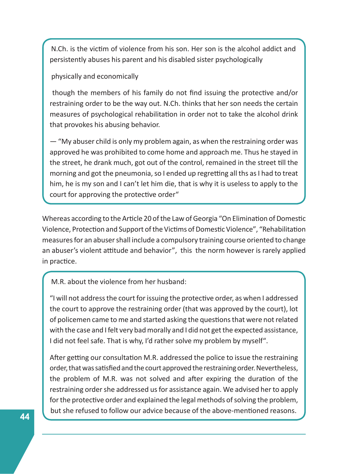N.Ch. is the victim of violence from his son. Her son is the alcohol addict and persistently abuses his parent and his disabled sister psychologically

physically and economically

though the members of his family do not find issuing the protective and/or restraining order to be the way out. N.Ch. thinks that her son needs the certain measures of psychological rehabilitation in order not to take the alcohol drink that provokes his abusing behavior.

— "My abuser child is only my problem again, as when the restraining order was approved he was prohibited to come home and approach me. Thus he stayed in the street, he drank much, got out of the control, remained in the street till the morning and got the pneumonia, so I ended up regretting all ths as I had to treat him, he is my son and I can't let him die, that is why it is useless to apply to the court for approving the protective order"

Whereas according to the Article 20 of the Law of Georgia "On Elimination of Domestic Violence, Protection and Support of the Victims of Domestic Violence", "Rehabilitation measures for an abuser shall include a compulsory training course oriented to change an abuser's violent attitude and behavior", this the norm however is rarely applied in practice.

M.R. about the violence from her husband:

"I will not address the court for issuing the protective order, as when I addressed the court to approve the restraining order (that was approved by the court), lot of policemen came to me and started asking the questions that were not related with the case and I felt very bad morally and I did not get the expected assistance, I did not feel safe. That is why, I'd rather solve my problem by myself".

After getting our consultation M.R. addressed the police to issue the restraining order, that was satisfied and the court approved the restraining order. Nevertheless, the problem of M.R. was not solved and after expiring the duration of the restraining order she addressed us for assistance again. We advised her to apply for the protective order and explained the legal methods of solving the problem, but she refused to follow our advice because of the above-mentioned reasons.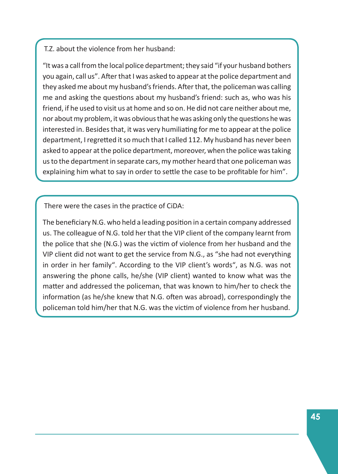#### T.Z. about the violence from her husband:

"It was a call from the local police department; they said "if your husband bothers you again, call us". After that I was asked to appear at the police department and they asked me about my husband's friends. After that, the policeman was calling me and asking the questions about my husband's friend: such as, who was his friend, if he used to visit us at home and so on. He did not care neither about me, nor about my problem, it was obvious that he was asking only the questions he was interested in. Besides that, it was very humiliating for me to appear at the police department, I regretted it so much that I called 112. My husband has never been asked to appear at the police department, moreover, when the police was taking us to the department in separate cars, my mother heard that one policeman was explaining him what to say in order to settle the case to be profitable for him".

There were the cases in the practice of CiDA:

The beneficiary N.G. who held a leading position in a certain company addressed us. The colleague of N.G. told her that the VIP client of the company learnt from the police that she (N.G.) was the victim of violence from her husband and the VIP client did not want to get the service from N.G., as "she had not everything in order in her family". According to the VIP client's words", as N.G. was not answering the phone calls, he/she (VIP client) wanted to know what was the matter and addressed the policeman, that was known to him/her to check the information (as he/she knew that N.G. often was abroad), correspondingly the policeman told him/her that N.G. was the victim of violence from her husband.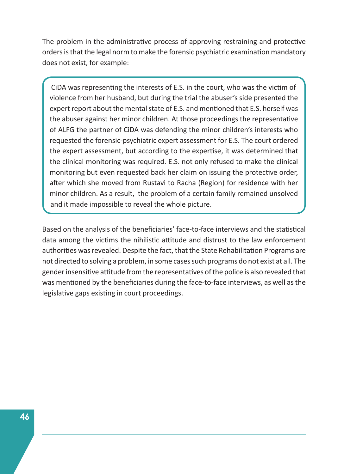The problem in the administrative process of approving restraining and protective orders is that the legal norm to make the forensic psychiatric examination mandatory does not exist, for example:

CIDA was representing the interests of E.S. in the court, who was the victim of violence from her husband, but during the trial the abuser's side presented the expert report about the mental state of E.S. and mentioned that E.S. herself was the abuser against her minor children. At those proceedings the representative of ALFG the partner of CiDA was defending the minor children's interests who requested the forensic-psychiatric expert assessment for E.S. The court ordered the expert assessment, but according to the expertise, it was determined that the clinical monitoring was required. E.S. not only refused to make the clinical monitoring but even requested back her claim on issuing the protective order, after which she moved from Rustavi to Racha (Region) for residence with her minor children. As a result, the problem of a certain family remained unsolved and it made impossible to reveal the whole picture.

Based on the analysis of the beneficiaries' face-to-face interviews and the statistical data among the victims the nihilistic attitude and distrust to the law enforcement authorities was revealed. Despite the fact, that the State Rehabilitation Programs are not directed to solving a problem, in some cases such programs do not exist at all. The gender insensitive attitude from the representatives of the police is also revealed that was mentioned by the beneficiaries during the face-to-face interviews, as well as the legislative gaps existing in court proceedings.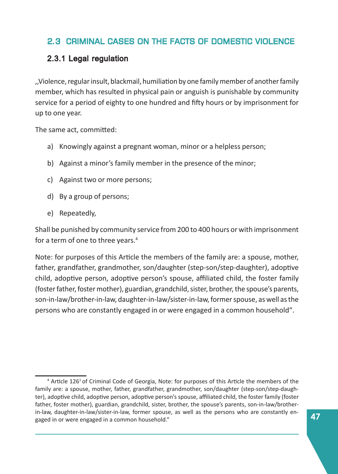### 2.3 CRIMINAL CASES ON THE FACTS OF DOMESTIC VIOLENCE VIOLENCE

#### 2.3.1 Legal regulation

,,Violence, regular insult, blackmail, humiliation by one family member of another family member, which has resulted in physical pain or anguish is punishable by community service for a period of eighty to one hundred and fifty hours or by imprisonment for up to one year.

The same act, committed:

- a) Knowingly against a pregnant woman, minor or a helpless person;
- b) Against a minor's family member in the presence of the minor;
- c) Against two or more persons;
- d) By a group of persons;
- e) Repeatedly,

Shall be punished by community service from 200 to 400 hours or with imprisonment for a term of one to three years.<sup>4</sup>

Note: for purposes of this Article the members of the family are: a spouse, mother, father, grandfather, grandmother, son/daughter (step-son/step-daughter), adoptive child, adoptive person, adoptive person's spouse, affiliated child, the foster family (foster father, foster mother), guardian, grandchild, sister, brother, the spouse's parents, son-in-law/brother-in-law, daughter-in-law/sister-in-law, former spouse, as well as the persons who are constantly engaged in or were engaged in a common household".

<sup>&</sup>lt;sup>4</sup> Article 126<sup>1</sup> of Criminal Code of Georgia, Note: for purposes of this Article the members of the family are: a spouse, mother, father, grandfather, grandmother, son/daughter (step-son/step-daughter), adoptive child, adoptive person, adoptive person's spouse, affiliated child, the foster family (foster father, foster mother), guardian, grandchild, sister, brother, the spouse's parents, son-in-law/brotherin-law, daughter-in-law/sister-in-law, former spouse, as well as the persons who are constantly engaged in or were engaged in a common household."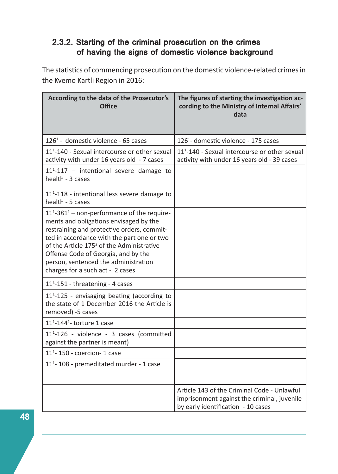#### 2.3.2. Starting of the criminal prosecution on the crimes of having the signs of domestic violence background

The statistics of commencing prosecution on the domestic violence-related crimes in the Kvemo Kartli Region in 2016:

| According to the data of the Prosecutor's<br><b>Office</b>                                                                                                                                                                                                                                                                                                                  | The figures of starting the investigation ac-<br>cording to the Ministry of Internal Affairs'<br>data                            |
|-----------------------------------------------------------------------------------------------------------------------------------------------------------------------------------------------------------------------------------------------------------------------------------------------------------------------------------------------------------------------------|----------------------------------------------------------------------------------------------------------------------------------|
| 126 <sup>1</sup> - domestic violence - 65 cases                                                                                                                                                                                                                                                                                                                             | 126 <sup>1</sup> - domestic violence - 175 cases                                                                                 |
| 11 <sup>1</sup> -140 - Sexual intercourse or other sexual<br>activity with under 16 years old - 7 cases                                                                                                                                                                                                                                                                     | 11 <sup>1</sup> -140 - Sexual intercourse or other sexual<br>activity with under 16 years old - 39 cases                         |
| 11 <sup>1</sup> -117 - intentional severe damage to<br>health - 3 cases                                                                                                                                                                                                                                                                                                     |                                                                                                                                  |
| $111$ -118 - intentional less severe damage to<br>health - 5 cases                                                                                                                                                                                                                                                                                                          |                                                                                                                                  |
| $111$ -381 <sup>1</sup> – non-performance of the require-<br>ments and obligations envisaged by the<br>restraining and protective orders, commit-<br>ted in accordance with the part one or two<br>of the Article 175 <sup>2</sup> of the Administrative<br>Offense Code of Georgia, and by the<br>person, sentenced the administration<br>charges for a such act - 2 cases |                                                                                                                                  |
| $111 - 151$ - threatening - 4 cases                                                                                                                                                                                                                                                                                                                                         |                                                                                                                                  |
| 11 <sup>1</sup> -125 - envisaging beating (according to<br>the state of 1 December 2016 the Article is<br>removed) -5 cases                                                                                                                                                                                                                                                 |                                                                                                                                  |
| $111$ -144 <sup>1</sup> -torture 1 case                                                                                                                                                                                                                                                                                                                                     |                                                                                                                                  |
| 11 <sup>1</sup> -126 - violence - 3 cases (committed<br>against the partner is meant)                                                                                                                                                                                                                                                                                       |                                                                                                                                  |
| $111 - 150$ - coercion- 1 case                                                                                                                                                                                                                                                                                                                                              |                                                                                                                                  |
| 11 <sup>1</sup> -108 - premeditated murder - 1 case                                                                                                                                                                                                                                                                                                                         |                                                                                                                                  |
|                                                                                                                                                                                                                                                                                                                                                                             | Article 143 of the Criminal Code - Unlawful<br>imprisonment against the criminal, juvenile<br>by early identification - 10 cases |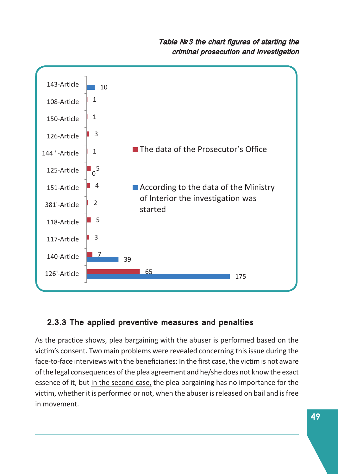#### Table  $N<sup>2</sup>3$  the chart figures of starting the criminal prosecution and investigation



### 2.3.3 The applied preventive measures and penalties

As the practice shows, plea bargaining with the abuser is performed based on the victim's consent. Two main problems were revealed concerning this issue during the face-to-face interviews with the beneficiaries: In the first case, the victim is not aware of the legal consequences of the plea agreement and he/she does not know the exact essence of it, but in the second case, the plea bargaining has no importance for the victim, whether it is performed or not, when the abuser is released on bail and is free in movement.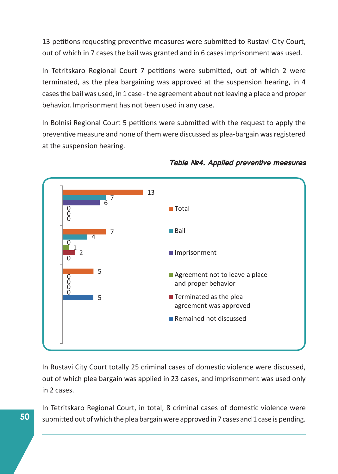13 petitions requesting preventive measures were submitted to Rustavi City Court, out of which in 7 cases the bail was granted and in 6 cases imprisonment was used.

In Tetritskaro Regional Court 7 petitions were submitted, out of which 2 were terminated, as the plea bargaining was approved at the suspension hearing, in 4 cases the bail was used, in 1 case - the agreement about not leaving a place and proper behavior. Imprisonment has not been used in any case.

In Bolnisi Regional Court 5 petitions were submitted with the request to apply the preventive measure and none of them were discussed as plea-bargain was registered at the suspension hearing.



#### Table Nº4. Applied preventive measures

In Rustavi City Court totally 25 criminal cases of domestic violence were discussed, out of which plea bargain was applied in 23 cases, and imprisonment was used only in 2 cases.

In Tetritskaro Regional Court, in total, 8 criminal cases of domestic violence were submitted out of which the plea bargain were approved in 7 cases and 1 case is pending.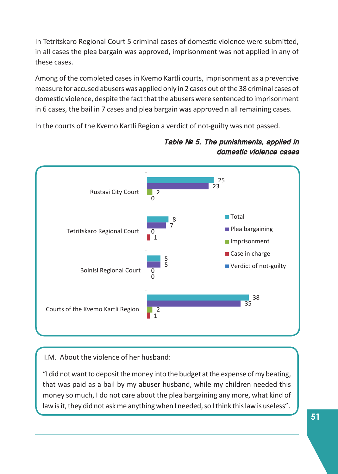In Tetritskaro Regional Court 5 criminal cases of domestic violence were submitted, in all cases the plea bargain was approved, imprisonment was not applied in any of these cases.

Among of the completed cases in Kvemo Kartli courts, imprisonment as a preventive measure for accused abusers was applied only in 2 cases out of the 38 criminal cases of domestic violence, despite the fact that the abusers were sentenced to imprisonment in 6 cases, the bail in 7 cases and plea bargain was approved n all remaining cases.

In the courts of the Kvemo Kartli Region a verdict of not-guilty was not passed.



Table Nº 5. The punishments, applied in domestic violence cases

I.M. About the violence of her husband:

ſ

"I did not want to deposit the money into the budget at the expense of my beating, that was paid as a bail by my abuser husband, while my children needed this money so much, I do not care about the plea bargaining any more, what kind of law is it, they did not ask me anything when I needed, so I think this law is useless".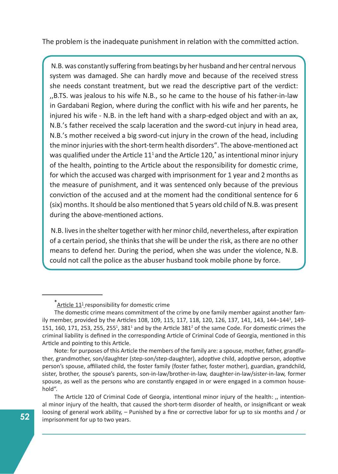The problem is the inadequate punishment in relation with the committed action.

N.B. was constantly suffering from beatings by her husband and her central nervous system was damaged. She can hardly move and because of the received stress she needs constant treatment, but we read the descriptive part of the verdict: ,,B.TS. was jealous to his wife N.B., so he came to the house of his father-in-law in Gardabani Region, where during the conflict with his wife and her parents, he injured his wife - N.B. in the left hand with a sharp-edged object and with an ax, N.B.'s father received the scalp laceration and the sword-cut injury in head area, N.B.'s mother received a big sword-cut injury in the crown of the head, including the minor injuries with the short-term health disorders". The above-mentioned act was qualified under the Article 11<sup>1</sup> and the Article 120,<sup>\*</sup> as intentional minor injury of the health, pointing to the Article about the responsibility for domestic crime, for which the accused was charged with imprisonment for 1 year and 2 months as the measure of punishment, and it was sentenced only because of the previous conviction of the accused and at the moment had the conditional sentence for 6 (six) months. It should be also mentioned that 5 years old child of N.B. was present during the above-mentioned actions.

N.B. lives in the shelter together with her minor child, nevertheless, after expiration of a certain period, she thinks that she will be under the risk, as there are no other means to defend her. During the period, when she was under the violence, N.B. could not call the police as the abuser husband took mobile phone by force.

 $*$ **Article 11<sup>1</sup>** responsibility for domestic crime

The domestic crime means commitment of the crime by one family member against another family member, provided by the Articles 108, 109, 115, 117, 118, 120, 126, 137, 141, 143, 144-144<sup>3</sup>, 149-151, 160, 171, 253, 255, 255<sup>1</sup>, 381<sup>1</sup> and by the Article 381<sup>2</sup> of the same Code. For domestic crimes the criminal liability is defined in the corresponding Article of Criminal Code of Georgia, mentioned in this Article and pointing to this Article.

Note: for purposes of this Article the members of the family are: a spouse, mother, father, grandfather, grandmother, son/daughter (step-son/step-daughter), adoptive child, adoptive person, adoptive person's spouse, affiliated child, the foster family (foster father, foster mother), guardian, grandchild, sister, brother, the spouse's parents, son-in-law/brother-in-law, daughter-in-law/sister-in-law, former spouse, as well as the persons who are constantly engaged in or were engaged in a common household".

The Article 120 of Criminal Code of Georgia, intentional minor injury of the health: "intentional minor injury of the health, that caused the short-term disorder of health, or insignificant or weak loosing of general work ability, – Punished by a fine or corrective labor for up to six months and / or imprisonment for up to two years.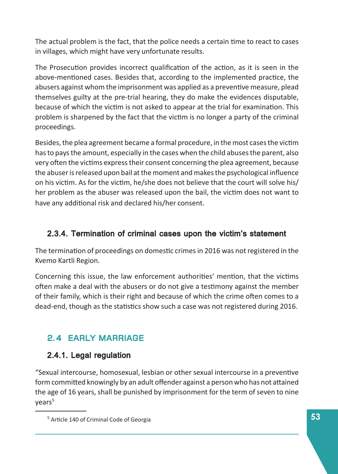The actual problem is the fact, that the police needs a certain time to react to cases in villages, which might have very unfortunate results.

The Prosecution provides incorrect qualification of the action, as it is seen in the above-mentioned cases. Besides that, according to the implemented practice, the abusers against whom the imprisonment was applied as a preventive measure, plead themselves guilty at the pre-trial hearing, they do make the evidences disputable, because of which the victim is not asked to appear at the trial for examination. This problem is sharpened by the fact that the victim is no longer a party of the criminal proceedings.

Besides, the plea agreement became a formal procedure, in the most cases the victim has to pays the amount, especially in the cases when the child abuses the parent, also very often the victims express their consent concerning the plea agreement, because the abuser is released upon bail at the moment and makes the psychological influence on his victim. As for the victim, he/she does not believe that the court will solve his/ her problem as the abuser was released upon the bail, the victim does not want to have any additional risk and declared his/her consent.

#### 2.3.4. Termination of criminal cases upon the victim's statement

The termination of proceedings on domestic crimes in 2016 was not registered in the Kvemo Kartli Region.

Concerning this issue, the law enforcement authorities' mention, that the victims often make a deal with the abusers or do not give a testimony against the member of their family, which is their right and because of which the crime often comes to a dead-end, though as the statistics show such a case was not registered during 2016.

## 2.4 EARLY MARRIAGE

### 2.4.1. Legal regulation

"Sexual intercourse, homosexual, lesbian or other sexual intercourse in a preventive form committed knowingly by an adult offender against a person who has not attained the age of 16 years, shall be punished by imprisonment for the term of seven to nine vears<sup>5</sup>

<sup>&</sup>lt;sup>5</sup> Article 140 of Criminal Code of Georgia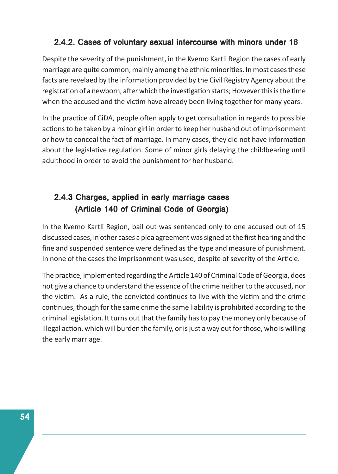#### 2.4.2. Cases of voluntary sexual intercourse with minors under 16

Despite the severity of the punishment, in the Kvemo Kartli Region the cases of early marriage are quite common, mainly among the ethnic minorities. In most cases these facts are revelaed by the information provided by the Civil Registry Agency about the registration of a newborn, after which the investigation starts; However this is the time when the accused and the victim have already been living together for many years.

In the practice of CiDA, people often apply to get consultation in regards to possible actions to be taken by a minor girl in order to keep her husband out of imprisonment or how to conceal the fact of marriage. In many cases, they did not have information about the legislative regulation. Some of minor girls delaying the childbearing until adulthood in order to avoid the punishment for her husband.

### 2.4.3 Charges, applied in early marriage cases (Article 140 of Criminal Code of Georgia)

In the Kvemo Kartli Region, bail out was sentenced only to one accused out of 15 discussed cases, in other cases a plea agreement was signed at the first hearing and the fine and suspended sentence were defined as the type and measure of punishment. In none of the cases the imprisonment was used, despite of severity of the Article.

The practice, implemented regarding the Article 140 of Criminal Code of Georgia, does not give a chance to understand the essence of the crime neither to the accused, nor the victim. As a rule, the convicted continues to live with the victim and the crime continues, though for the same crime the same liability is prohibited according to the criminal legislation. It turns out that the family has to pay the money only because of illegal action, which will burden the family, or is just a way out for those, who is willing the early marriage.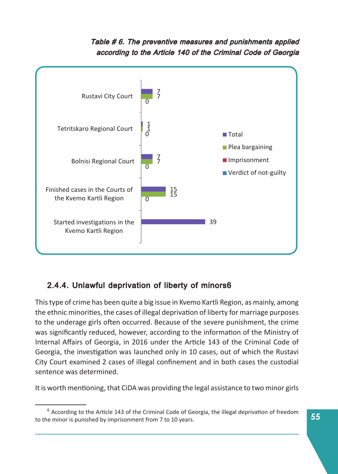#### Table # 6. The preventive measures and punishments applied according to the Article 140 of the Criminal Code of Georgia



### 2.4.4. Unlawful deprivation of liberty of minors6

This type of crime has been quite a big issue in Kvemo Kartli Region, as mainly, among the ethnic minorities, the cases of illegal deprivation of liberty for marriage purposes to the underage girls often occurred. Because of the severe punishment, the crime was significantly reduced, however, according to the information of the Ministry of Internal Affairs of Georgia, in 2016 under the Article 143 of the Criminal Code of Georgia, the investigation was launched only in 10 cases, out of which the Rustavi City Court examined 2 cases of illegal confinement and in both cases the custodial sentence was determined.

It is worth mentioning, that CiDA was providing the legal assistance to two minor girls

 $<sup>6</sup>$  According to the Article 143 of the Criminal Code of Georgia, the illegal deprivation of freedom</sup> to the minor is punished by imprisonment from 7 to 10 years.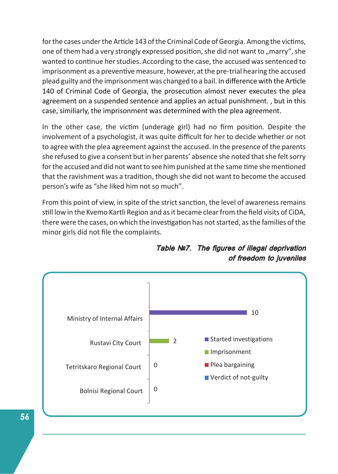for the cases under the Article 143 of the Criminal Code of Georgia. Among the victims, one of them had a very strongly expressed position, she did not want to "marry", she wanted to continue her studies. According to the case, the accused was sentenced to imprisonment as a preventive measure, however, at the pre-trial hearing the accused plead guilty and the imprisonment was changed to a bail. In difference with the Article 140 of Criminal Code of Georgia, the prosecution almost never executes the plea agreement on a suspended sentence and applies an actual punishment. , but in this case, similiarly, the imprisonment was determined with the plea agreement.

In the other case, the victim (underage girl) had no firm position. Despite the involvement of a psychologist, it was quite difficult for her to decide whether or not to agree with the plea agreement against the accused. In the presence of the parents she refused to give a consent but in her parents' absence she noted that she felt sorry for the accused and did not want to see him punished at the same time she mentioned that the ravishment was a tradition, though she did not want to become the accused person's wife as "she liked him not so much".

From this point of view, in spite of the strict sanction, the level of awareness remains still low in the Kvemo Kartli Region and as it became clear from the field visits of CiDA, there were the cases, on which the investigation has not started, as the families of the minor girls did not file the complaints.



Table Nº7. The figures of illegal deprivation of freedom to juveniles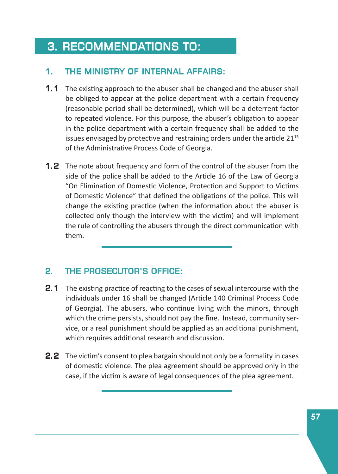## 3. RECOMMENDATIONS TO:

#### 1. THE MINISTRY OF INTERNAL AFFAIRS:

- 1.1 The existing approach to the abuser shall be changed and the abuser shall be obliged to appear at the police department with a certain frequency (reasonable period shall be determined), which will be a deterrent factor to repeated violence. For this purpose, the abuser's obligation to appear in the police department with a certain frequency shall be added to the issues envisaged by protective and restraining orders under the article  $21^{15}$ of the Administrative Process Code of Georgia.
- **1.2** The note about frequency and form of the control of the abuser from the side of the police shall be added to the Article 16 of the Law of Georgia "On Elimination of Domestic Violence, Protection and Support to Victims of Domestic Violence" that defined the obligations of the police. This will change the existing practice (when the information about the abuser is collected only though the interview with the victim) and will implement the rule of controlling the abusers through the direct communication with them.

### 2. THE PROSECUTOR'S OFFICE:

- **2.1** The existing practice of reacting to the cases of sexual intercourse with the individuals under 16 shall be changed (Article 140 Criminal Process Code of Georgia). The abusers, who continue living with the minors, through which the crime persists, should not pay the fine. Instead, community service, or a real punishment should be applied as an additional punishment, which requires additional research and discussion.
- **2.2** The victim's consent to plea bargain should not only be a formality in cases of domestic violence. The plea agreement should be approved only in the case, if the victim is aware of legal consequences of the plea agreement.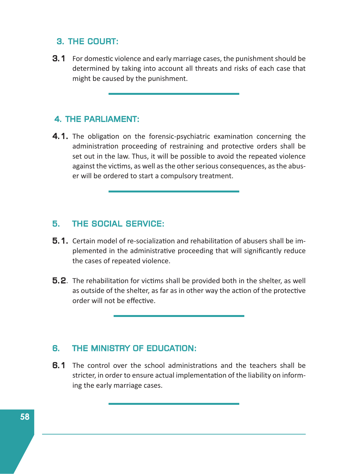#### 3. THE COURT:

**3.1** For domestic violence and early marriage cases, the punishment should be determined by taking into account all threats and risks of each case that might be caused by the punishment.

#### 4. THE PARLIAMENT:

4.1. The obligation on the forensic-psychiatric examination concerning the administration proceeding of restraining and protective orders shall be set out in the law. Thus, it will be possible to avoid the repeated violence against the victims, as well as the other serious consequences, as the abuser will be ordered to start a compulsory treatment.

#### 5. THE SOCIAL SERVICE: SERVICE:

- **5.1.** Certain model of re-socialization and rehabilitation of abusers shall be implemented in the administrative proceeding that will significantly reduce the cases of repeated violence.
- **5.2**. The rehabilitation for victims shall be provided both in the shelter, as well as outside of the shelter, as far as in other way the action of the protective order will not be effective.

#### 6. THE MINISTRY OF EDUCATION:

**6.1** The control over the school administrations and the teachers shall be stricter, in order to ensure actual implementation of the liability on informing the early marriage cases.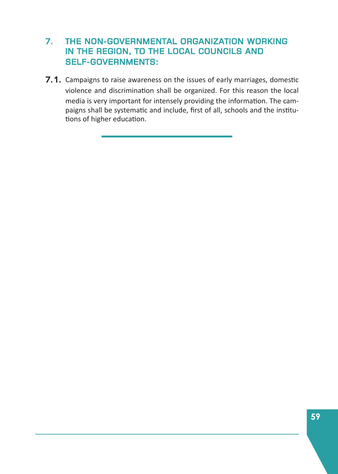#### 7. THE NON-GOVERNMENTAL ORGANIZATION WORKING IN THE REGION, TO THE LOCAL COUNCILS AND SELF-GOVERNMENTS:

7.1. Campaigns to raise awareness on the issues of early marriages, domestic violence and discrimination shall be organized. For this reason the local media is very important for intensely providing the information. The campaigns shall be systematic and include, first of all, schools and the institutions of higher education.